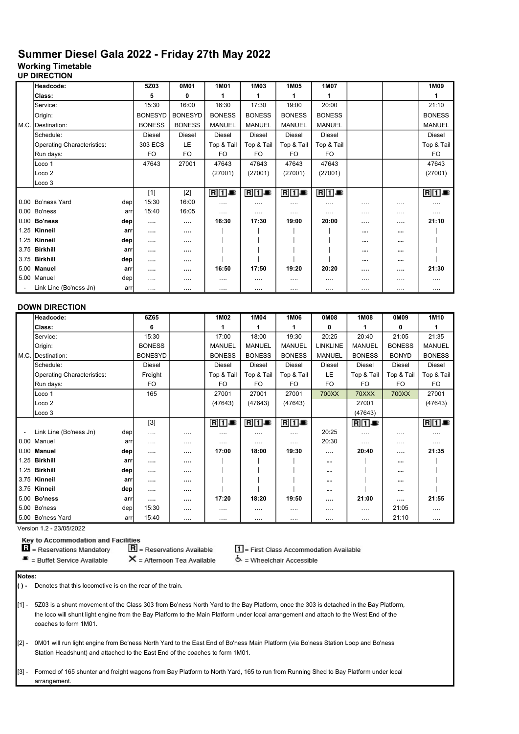# Summer Diesel Gala 2022 - Friday 27th May 2022

#### Working Timetable UP DIRECTION

| Headcode:                     | 5Z03           | 0M01           | 1M01          | 1M03          | 1M05          | 1M07          |          |          | 1M09          |
|-------------------------------|----------------|----------------|---------------|---------------|---------------|---------------|----------|----------|---------------|
| Class:                        | 5              | 0              | 1             | 1             |               | 1             |          |          | 1             |
| Service:                      | 15:30          | 16:00          | 16:30         | 17:30         | 19:00         | 20:00         |          |          | 21:10         |
| Origin:                       | <b>BONESYD</b> | <b>BONESYD</b> | <b>BONESS</b> | <b>BONESS</b> | <b>BONESS</b> | <b>BONESS</b> |          |          | <b>BONESS</b> |
| M.C. Destination:             | <b>BONESS</b>  | <b>BONESS</b>  | <b>MANUEL</b> | <b>MANUEL</b> | <b>MANUEL</b> | <b>MANUEL</b> |          |          | <b>MANUEL</b> |
| Schedule:                     | <b>Diesel</b>  | Diesel         | Diesel        | Diesel        | <b>Diesel</b> | Diesel        |          |          | Diesel        |
| Operating Characteristics:    | 303 ECS        | LE             | Top & Tail    | Top & Tail    | Top & Tail    | Top & Tail    |          |          | Top & Tail    |
| Run days:                     | <b>FO</b>      | FO             | FO            | FO            | FO            | FO            |          |          | FO.           |
| Loco 1                        | 47643          | 27001          | 47643         | 47643         | 47643         | 47643         |          |          | 47643         |
| Loco <sub>2</sub>             |                |                | (27001)       | (27001)       | (27001)       | (27001)       |          |          | (27001)       |
| Loco 3                        |                |                |               |               |               |               |          |          |               |
|                               | $[1]$          | $[2]$          | R 1 B         | $R$ 1         | <b>R1</b>     | R1E           |          |          | $R$ 1         |
| 0.00 Bo'ness Yard<br>dep      | 15:30          | 16:00          | $\cdots$      | .             | $\cdots$      | $\cdots$      | .        | .        | .             |
| 0.00 Bo'ness<br>arr           | 15:40          | 16:05          |               |               | $\cdots$      | $\cdots$      | .        | .        | .             |
| 0.00 Bo'ness<br>dep           |                |                | 16:30         | 17:30         | 19:00         | 20:00         |          |          | 21:10         |
| 1.25 Kinneil<br>arr           | $\cdots$       |                |               |               |               |               |          |          |               |
| 1.25 Kinneil<br>dep           |                |                |               |               |               |               | $\cdots$ |          |               |
| 3.75 Birkhill<br>arr          |                |                |               |               |               |               |          | $\cdots$ |               |
| 3.75 Birkhill<br>dep          |                |                |               |               |               |               |          |          |               |
| 5.00 Manuel<br>arr            |                |                | 16:50         | 17:50         | 19:20         | 20:20         |          |          | 21:30         |
| 5.00 Manuel<br>dep            | $\cdots$       | .              | .             | .             | $\cdots$      | $\cdots$      | .        | .        | .             |
| Link Line (Bo'ness Jn)<br>arr | $\cdots$       | $\cdots$       |               |               | $\cdots$      | $\cdots$      | .        | .        | $\cdots$      |

## DOWN DIRECTION

|      | Headcode:                         | 6Z65           |   | 1M02          | 1M04          | 1M06          | 0M08            | 1M08          | 0M09          | 1M10          |
|------|-----------------------------------|----------------|---|---------------|---------------|---------------|-----------------|---------------|---------------|---------------|
|      | <b>Class:</b>                     | 6              |   |               |               | 1             | 0               | 1             | 0             |               |
|      | Service:                          | 15:30          |   | 17:00         | 18:00         | 19:30         | 20:25           | 20:40         | 21:05         | 21:35         |
|      | Origin:                           | <b>BONESS</b>  |   | <b>MANUEL</b> | <b>MANUEL</b> | <b>MANUEL</b> | <b>LINKLINE</b> | <b>MANUEL</b> | <b>BONESS</b> | <b>MANUEL</b> |
|      | M.C. Destination:                 | <b>BONESYD</b> |   | <b>BONESS</b> | <b>BONESS</b> | <b>BONESS</b> | <b>MANUEL</b>   | <b>BONESS</b> | <b>BONYD</b>  | <b>BONESS</b> |
|      | Schedule:                         | Diesel         |   | <b>Diesel</b> | Diesel        | Diesel        | <b>Diesel</b>   | <b>Diesel</b> | <b>Diesel</b> | Diesel        |
|      | <b>Operating Characteristics:</b> | Freight        |   | Top & Tail    | Top & Tail    | Top & Tail    | <b>LE</b>       | Top & Tail    | Top & Tail    | Top & Tail    |
|      | Run days:                         | <b>FO</b>      |   | FO            | FO.           | FO            | <b>FO</b>       | <b>FO</b>     | FO            | FO            |
|      | Loco 1                            | 165            |   | 27001         | 27001         | 27001         | 700XX           | 70XXX         | 700XX         | 27001         |
|      | Loco <sub>2</sub>                 |                |   | (47643)       | (47643)       | (47643)       |                 | 27001         |               | (47643)       |
|      | Loco 3                            |                |   |               |               |               |                 | (47643)       |               |               |
|      |                                   | $[3]$          |   | R1            | $R_1$         | R1E           |                 | $R$ 1         |               | $R$ 1         |
|      | Link Line (Bo'ness Jn)<br>dep     | .              |   | .             |               | $\cdots$      | 20:25           | .             |               | .             |
|      | 0.00 Manuel                       | arr<br>.       | . | .             | .             | $\cdots$      | 20:30           | .             | $\cdots$      | .             |
|      | 0.00 Manuel<br>dep                |                |   | 17:00         | 18:00         | 19:30         | $\cdots$        | 20:40         |               | 21:35         |
|      | 1.25 Birkhill                     | arr<br>        |   |               |               |               |                 |               |               |               |
|      | 1.25 Birkhill<br>dep              |                |   |               |               |               |                 |               |               |               |
|      | 3.75 Kinneil                      | arr<br>        |   |               |               |               |                 |               |               |               |
|      | 3.75 Kinneil<br>dep               |                |   |               |               |               |                 |               |               |               |
|      | 5.00 Bo'ness                      | arr<br>        |   | 17:20         | 18:20         | 19:50         |                 | 21:00         | $\cdots$      | 21:55         |
| 5.00 | <b>Bo'ness</b><br>dep             | 15:30          | . | .             | .             | $\cdots$      | .               | .             | 21:05         |               |
|      | 5.00 Bo'ness Yard                 | 15:40<br>arr   | . | .             | .             | $\cdots$      | .               | .             | 21:10         | .             |

Version 1.2 - 23/05/2022

## Key to Accommodation and Facilities

| $\overline{\mathbf{B}}$ = Reservations Mandatory |
|--------------------------------------------------|
| .                                                |

 $\blacksquare$  = Buffet Service Available

 $R$  = Reservations Available  $\boxed{\color{blue}\textbf{1}}$  = First Class Accommodation Available  $X =$  Afternoon Tea Available

& = Wheelchair Accessible

# Notes:

( ) - Denotes that this locomotive is on the rear of the train.

[1] - 5Z03 is a shunt movement of the Class 303 from Bo'ness North Yard to the Bay Platform, once the 303 is detached in the Bay Platform, the loco will shunt light engine from the Bay Platform to the Main Platform under local arrangement and attach to the West End of the coaches to form 1M01.

[2] - 0M01 will run light engine from Bo'ness North Yard to the East End of Bo'ness Main Platform (via Bo'ness Station Loop and Bo'ness Station Headshunt) and attached to the East End of the coaches to form 1M01.

[3] - Formed of 165 shunter and freight wagons from Bay Platform to North Yard, 165 to run from Running Shed to Bay Platform under local arrangement.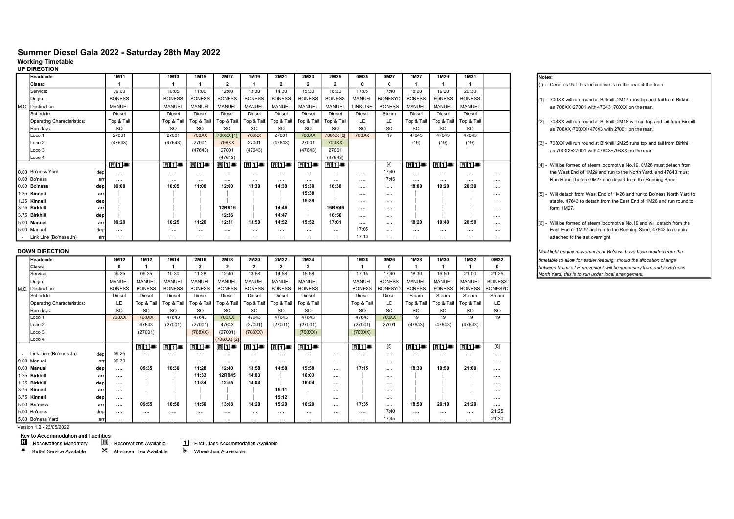# Summer Diesel Gala 2022 - Saturday 28th May 2022

### Working Timetable

| <b>UP DIRECTION</b> |  |
|---------------------|--|
|---------------------|--|

| Headcode:                  |     | 1M11          | 1M13          | 1M15          | 2M17          | 1M19          | 2M21          | 2M23          | 2M25          | 0M25           | 0M27           | 1M27          | 1M29          | 1M31          |          | INotes: |                                     |
|----------------------------|-----|---------------|---------------|---------------|---------------|---------------|---------------|---------------|---------------|----------------|----------------|---------------|---------------|---------------|----------|---------|-------------------------------------|
| Class:                     |     |               |               |               |               |               |               |               |               |                |                |               |               |               |          |         | ) - Denotes that this locomotive    |
| Service:                   |     | 09:00         | 10:05         | 11:00         | 12:00         | 13:30         | 14:30         | 15:30         | 16:30         | 17:05          | 17:40          | 18:00         | 19:20         | 20:30         |          |         |                                     |
| Origin:                    |     | <b>BONESS</b> | <b>BONESS</b> | <b>BONESS</b> | <b>BONESS</b> | <b>BONESS</b> | <b>BONESS</b> | <b>BONESS</b> | <b>BONESS</b> | MANUEL         | <b>BONESYD</b> | <b>BONESS</b> | <b>BONESS</b> | <b>BONESS</b> |          |         | [1] - 700XX will run round at Birkh |
| M.C. Destination:          |     | MANUEL        | <b>MANUEL</b> | MANUEL        | <b>MANUEL</b> | MANUEL        | MANUEL        | MANUEL        | MANUEL        | LINKLINE       | <b>BONESS</b>  | MANUEL        | <b>MANUEL</b> | MANUEL        |          |         | as 708XX+27001 with 47643           |
| Schedule:                  |     | Diesel        | Diesel        | Diesel        | Diesel        | Diesel        | Diesel        | Diesel        | <b>Diesel</b> | <b>Diesel</b>  | Steam          | Diesel        | Diesel        | Diesel        |          |         |                                     |
| Operating Characteristics: |     | Top & Tail    | Top & Tail    | Top & Tail    | Top & Tail    | Top & Tail    | Top & Tail    | Top & Tail    | Top & Tail    | LE             | LE.            | Top & Tail    | Top & Tail    | Top & Tail    |          |         | [2] - 708XX will run round at Birkh |
| Run days:                  |     | SO.           | <b>SO</b>     | <b>SO</b>     | <b>SO</b>     | SO.           | <b>SO</b>     | SO.           | SO            | S <sub>O</sub> | SO.            | <b>SO</b>     | <b>SO</b>     | SO            |          |         | as 708XX+700XX+47643 wit            |
| Loco 1                     |     | 27001         | 27001         | 708XX         | 700XX [1]     | 708XX         | 27001         | 700XX         | 708XX [3]     | 708XX          | 19             | 47643         | 47643         | 47643         |          |         |                                     |
| Loco 2                     |     | (47643)       | (47643)       | 27001         | 708XX         | 27001         | (47643)       | 27001         | 700XX         |                |                | (19)          | (19)          | (19)          |          |         | [3] - 708XX will run round at Birkh |
| Loco 3                     |     |               |               | (47643)       | 27001         | (47643)       |               | (47643)       | 27001         |                |                |               |               |               |          |         | as 700XX+27001 with 47643           |
| Loco 4                     |     |               |               |               | (47643)       |               |               |               | (47643)       |                |                |               |               |               |          |         |                                     |
|                            |     | R1E           | $R$ 1         | R1E           | R1E           | R1E           | R1E           | R1            | R1E           |                | $[4]$          | R1E           | R1E           | R1E           |          |         | [4] - Will be formed of steam loco  |
| 0.00 Bo'ness Yard          | dep | $\cdots$      |               | .             | $\cdots$      | $\cdots$      |               |               | .             | $\cdots$       | 17:40          |               |               | $\cdots$      | $\cdots$ |         | the West End of 1M26 and ro         |
| 0.00 Bo'ness               |     | $\cdots$      |               | .             | $\cdots$      | $\cdots$      |               |               |               | $\cdots$       | 17:45          |               |               | .             | $\cdots$ |         | Run Round before 0M27 can           |
| 0.00 Bo'ness               | dep | 09:00         | 10:05         | 11:00         | 12:00         | 13:30         | 14:30         | 15:30         | 16:30         |                |                | 18:00         | 19:20         | 20:30         | $\cdots$ |         |                                     |
| 1.25 Kinneil               | arr |               |               |               |               |               |               | 15:38         |               |                | $\cdots$       |               |               |               | $\cdots$ |         | [5] - Will detach from West End o   |
| 1.25 Kinneil               | dep |               |               |               |               |               |               | 15:39         |               | $\cdots$       |                |               |               |               | $\cdots$ |         | stable, 47643 to detach from        |
| 3.75 Birkhill              | arr |               |               |               | <b>12RR16</b> |               | 14:46         |               | <b>16RR46</b> | $\cdots$       | $\cdots$       |               |               |               | $\cdots$ |         | form 1M27.                          |
| 3.75 Birkhill              | dep |               |               |               | 12:26         |               | 14:47         |               | 16:56         | $\cdots$       |                |               |               |               | $\cdots$ |         |                                     |
| 5.00 Manuel                | arr | 09:20         | 10:25         | 11:20         | 12:31         | 13:50         | 14:52         | 15:52         | 17:01         | $\cdots$       | $\cdots$       | 18:20         | 19:40         | 20:50         | $\cdots$ |         | [6] - Will be formed of steam loco  |
| 5.00 Manuel                | dep | $\cdots$      |               | $\cdots$      | $\cdots$      | $\cdots$      | $\cdots$      | $\cdots$      | $\cdots$      | 17:05          | $\cdots$       | $\cdots$      | $\cdots$      | $\cdots$      | $\cdots$ |         | East End of 1M32 and run to         |
| - Link Line (Bo'ness Jn)   | arr | $\cdots$      |               |               | $\cdots$      | $\cdots$      |               |               | .             | 17:10          |                | .             |               |               |          |         | attached to the set overnight       |

| <b>DOWN DIRECTION</b>      |     |               |               |                                          |               |               |               |                    |               |          |               |                |               |               |               |                | Most light engine movements at Bo'ness have been omitted from the   |
|----------------------------|-----|---------------|---------------|------------------------------------------|---------------|---------------|---------------|--------------------|---------------|----------|---------------|----------------|---------------|---------------|---------------|----------------|---------------------------------------------------------------------|
| Headcode:                  |     | 0M12          | 1M12          | 1M14                                     | 2M16          | 2M18          | 2M20          | 2M22               | 2M24          |          | 1M26          | 0M26           | 1M28          | 1M30          | 1M32          | 0M32           | timetable to allow for easier reading, should the allocation change |
| Class:                     |     |               |               |                                          |               |               |               |                    |               |          |               |                |               |               |               |                | between trains a LE movement will be necessary from and to Bo'ness  |
| Service:                   |     | 09:25         | 09:35         | 10:30                                    | 11:28         | 12:40         | 13:58         | 14:58              | 15:58         |          | 17:15         | 17:40          | 18:30         | 19:50         | 21:00         | 21:25          | North Yard, this is to run under local arrangement.                 |
| Origin:                    |     | MANUEL        | MANUEL        | MANUEL                                   | MANUEL        | MANUEL        | <b>MANUEL</b> | MANUEL             | MANUEL        |          | MANUEL        | <b>BONESS</b>  | <b>MANUEL</b> | <b>MANUEL</b> | MANUEL        | <b>BONESS</b>  |                                                                     |
| M.C. Destination:          |     | <b>BONESS</b> | <b>BONESS</b> | <b>BONESS</b>                            | <b>BONESS</b> | <b>BONESS</b> | <b>BONESS</b> | <b>BONESS</b>      | <b>BONESS</b> |          | <b>BONESS</b> | <b>BONESYD</b> | <b>BONESS</b> | <b>BONESS</b> | <b>BONESS</b> | <b>BONESYD</b> |                                                                     |
| Schedule:                  |     | Diesel        | Diesel        | Diesel                                   | Diesel        | Diesel        | Diesel        | Diesel             | Diesel        |          | Diesel        | Diesel         | Steam         | Steam         | Steam         | Steam          |                                                                     |
| Operating Characteristics: |     | LE            | Top & Tail    | Top & Tail                               | Top & Tail    | Top & Tail    | Top & Tail    | Top & Tail         | Top & Tail    |          | Top & Tail    | LE             | Top & Tail    | Top & Tail    | Top & Tail    | LE.            |                                                                     |
| Run days:                  |     | <sub>SO</sub> | SO.           | SO.                                      | SO.           | SO.           | SO.           | SO.                | SO.           |          | <b>SO</b>     | <b>SO</b>      | <b>SO</b>     | SO.           | SO.           | SO.            |                                                                     |
| Loco 1                     |     | 708XX         | 708XX         | 47643                                    | 47643         | 700XX         | 47643         | 47643              | 47643         |          | 47643         | 700XX          | 19            | 19            | 19            | 19             |                                                                     |
| Loco 2                     |     |               | 47643         | (27001)                                  | (27001)       | 47643         | (27001)       | (27001)            | (27001)       |          | (27001)       | 27001          | (47643)       | (47643)       | (47643)       |                |                                                                     |
| Loco 3                     |     |               | (27001)       |                                          | (708XX)       | (27001)       | (708XX)       |                    | (700XX)       |          | (700XX)       |                |               |               |               |                |                                                                     |
| Loco 4                     |     |               |               |                                          |               | $(708XX)$ [2] |               |                    |               |          |               |                |               |               |               |                |                                                                     |
|                            |     |               | R1E           | $R$ 1 <sup><math>\mathbf{E}</math></sup> | R1E           | R1E           | R1E           | $R$ 1 <sup>B</sup> | $R$ 1         |          | R1E           | $[5]$          | R1E           | R1E           | R1E           | [6]            |                                                                     |
| - Link Line (Bo'ness Jn)   | dep | 09:25         | $\cdots$      | $\cdots$                                 | $\cdots$      | $\cdots$      | $\cdots$      | $\cdots$           | $\cdots$      | $\cdots$ | .             | $\cdots$       |               |               | .             | .              |                                                                     |
| 0.00 Manuel                | arr | 09:30         | .             |                                          | .             | .             | .             | .                  | .             |          | .             | .              |               |               | .             |                |                                                                     |
| 0.00 Manuel                | dep |               | 09:35         | 10:30                                    | 11:28         | 12:40         | 13:58         | 14:58              | 15:58         | $\cdots$ | 17:15         | $\cdots$       | 18:30         | 19:50         | 21:00         |                |                                                                     |
| 1.25 Birkhill              | arı | $\cdots$      |               |                                          | 11:33         | <b>12RR45</b> | 14:03         |                    | 16:03         | $\cdots$ |               | $\cdots$       |               |               |               |                |                                                                     |
| 1.25 Birkhill              | dep | $\cdots$      |               |                                          | 11:34         | 12:55         | 14:04         |                    | 16:04         |          |               | $\cdots$       |               |               |               |                |                                                                     |
| 3.75 Kinneil               | arı |               |               |                                          |               |               |               | 15:11              |               |          |               |                |               |               |               |                |                                                                     |
| 3.75 Kinneil               | dep |               |               |                                          |               |               |               | 15:12              |               | $\cdots$ |               | $\cdots$       |               |               |               |                |                                                                     |
| 5.00 Bo'ness               | arr |               | 09:55         | 10:50                                    | 11:50         | 13:08         | 14:20         | 15:20              | 16:20         | $\cdots$ | 17:35         | $-0.000$       | 18:50         | 20:10         | 21:20         |                |                                                                     |
| 5.00 Bo'ness               | dep | $\cdots$      | $\cdots$      | $\cdots$                                 | $\cdots$      | $\cdots$      | $\cdots$      | $\cdots$           | $\cdots$      | $\cdots$ | $\cdots$      | 17:40          | $\cdots$      | .             | $\cdots$      | 21:25          |                                                                     |
| 5.00 Bo'ness Yard          | arr | $\cdots$      |               | $\cdots$                                 |               |               | .             | .                  | .             |          | $\cdots$      | 17:45          |               | .             | $\cdots$      | 21:30          |                                                                     |

Version 1.2 - 23/05/2022

**Key to Accommodation and Facilities**<br>**El** = Reservations Mandatory  $\boxed{R}$  =

 $R =$  Reservations Available

1 = First Class Accommodation Available

 $\blacksquare$  = Buffet Service Available  $X =$  Afternoon Tea Available  $6 =$  Wheelchair Accessible

- $(1)$  Denotes that this locomotive is on the rear of the train.
- origin: Boness Boness Boness Boness Bones<br>It 11 700XX will run round at Birkhill, 2M17 runs top and tail from Birkhill as  $708XX+27001$  with  $47643+700XX$  on the rear.
- [2] 708XX will run round at Birkhill, 2M18 will run top and tail from Birkhill as  $708XX+700XX+47643$  with  $27001$  on the rear.
- 131 708XX will run round at Birkhill. 2M25 runs top and tail from Birkhill as 700XX+27001 with 47643+708XX on the rear.
- $\frac{1}{2}$  [4] Will be formed of steam locomotive No. 19, 0M26 must detach from the West End of 1M26 and run to the North Yard, and 47643 must Run Round before 0M27 can depart from the Running Shed.
- [5] Will detach from West End of 1M26 and run to Bo'ness North Yard to stable, 47643 to detach from the East End of 1M26 and run round to
- [6] Will be formed of steam locomotive No.19 and will detach from the East End of 1M32 and run to the Running Shed, 47643 to remain